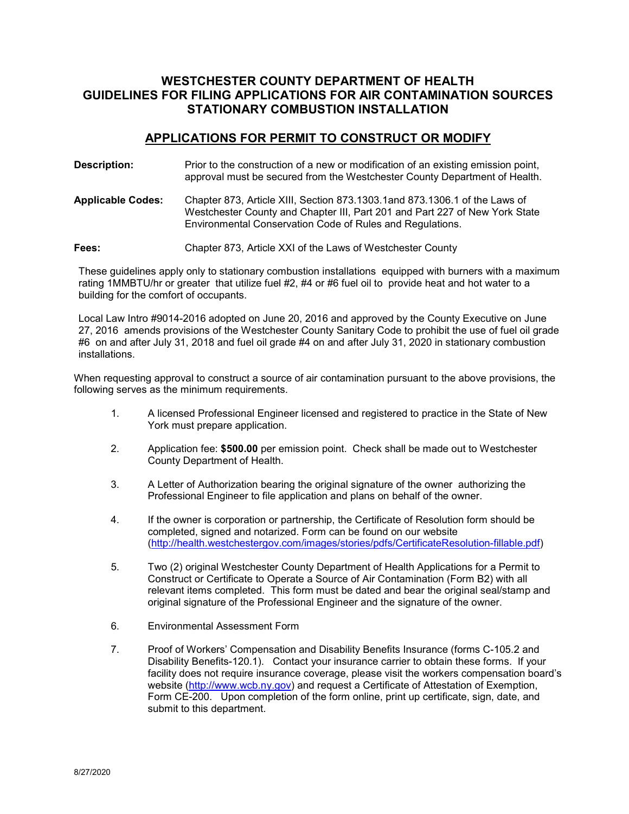## **WESTCHESTER COUNTY DEPARTMENT OF HEALTH GUIDELINES FOR FILING APPLICATIONS FOR AIR CONTAMINATION SOURCES STATIONARY COMBUSTION INSTALLATION**

#### **APPLICATIONS FOR PERMIT TO CONSTRUCT OR MODIFY**

| Description:             | Prior to the construction of a new or modification of an existing emission point,<br>approval must be secured from the Westchester County Department of Health.                                                        |
|--------------------------|------------------------------------------------------------------------------------------------------------------------------------------------------------------------------------------------------------------------|
| <b>Applicable Codes:</b> | Chapter 873, Article XIII, Section 873.1303.1and 873.1306.1 of the Laws of<br>Westchester County and Chapter III, Part 201 and Part 227 of New York State<br>Environmental Conservation Code of Rules and Regulations. |
| Fees:                    | Chapter 873, Article XXI of the Laws of Westchester County                                                                                                                                                             |

 These guidelines apply only to stationary combustion installations equipped with burners with a maximum rating 1MMBTU/hr or greater that utilize fuel #2, #4 or #6 fuel oil to provide heat and hot water to a building for the comfort of occupants.

 Local Law Intro #9014-2016 adopted on June 20, 2016 and approved by the County Executive on June #6 on and after July 31, 2018 and fuel oil grade #4 on and after July 31, 2020 in stationary combustion 27, 2016 amends provisions of the Westchester County Sanitary Code to prohibit the use of fuel oil grade installations.

When requesting approval to construct a source of air contamination pursuant to the above provisions, the following serves as the minimum requirements.

- 1. A licensed Professional Engineer licensed and registered to practice in the State of New York must prepare application.
- 2. Application fee: **\$500.00** per emission point. Check shall be made out to Westchester County Department of Health.
- 3. A Letter of Authorization bearing the original signature of the owner authorizing the Professional Engineer to file application and plans on behalf of the owner.
- 4. If the owner is corporation or partnership, the Certificate of Resolution form should be completed, signed and notarized. Form can be found on our website [\(http://health.westchestergov.com/images/stories/pdfs/CertificateResolution-fillable.pdf\)](http://health.westchestergov.com/images/stories/pdfs/CertificateResolution-fillable.pdf)
- relevant items completed. This form must be dated and bear the original seal/stamp and 5. Two (2) original Westchester County Department of Health Applications for a Permit to Construct or Certificate to Operate a Source of Air Contamination (Form B2) with all original signature of the Professional Engineer and the signature of the owner.
- 6. Environmental Assessment Form
- Disability Benefits-120.1). Contact your insurance carrier to obtain these forms. If your 7. Proof of Workers' Compensation and Disability Benefits Insurance (forms C-105.2 and facility does not require insurance coverage, please visit the workers compensation board's website [\(http://www.wcb.ny.gov\)](http://www.wcb.ny.gov/) and request a Certificate of Attestation of Exemption, Form CE-200. Upon completion of the form online, print up certificate, sign, date, and submit to this department.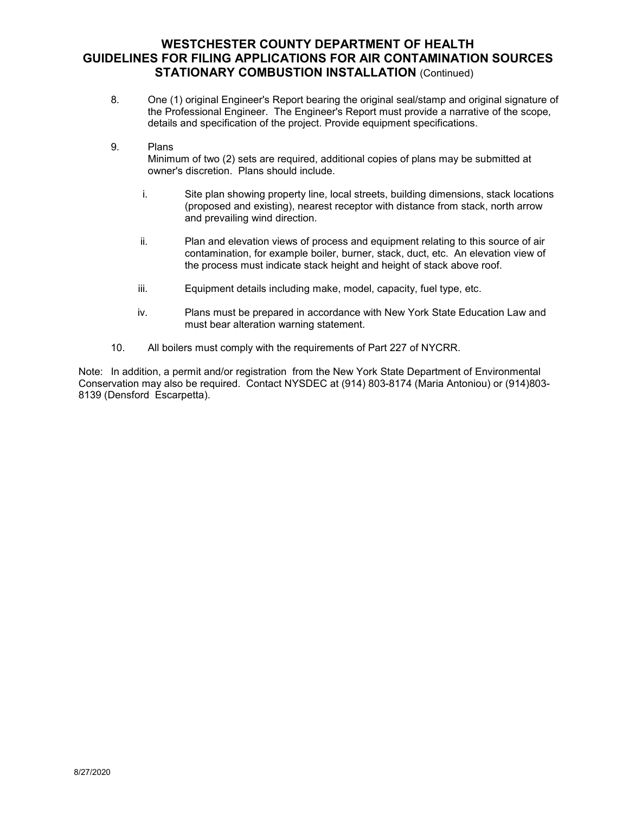### **WESTCHESTER COUNTY DEPARTMENT OF HEALTH GUIDELINES FOR FILING APPLICATIONS FOR AIR CONTAMINATION SOURCES STATIONARY COMBUSTION INSTALLATION** (Continued)

- 8. One (1) original Engineer's Report bearing the original seal/stamp and original signature of details and specification of the project. Provide equipment specifications. the Professional Engineer. The Engineer's Report must provide a narrative of the scope,
- 9. Plans

Minimum of two (2) sets are required, additional copies of plans may be submitted at owner's discretion. Plans should include.

- i. Site plan showing property line, local streets, building dimensions, stack locations (proposed and existing), nearest receptor with distance from stack, north arrow and prevailing wind direction.
- contamination, for example boiler, burner, stack, duct, etc. An elevation view of ii. Plan and elevation views of process and equipment relating to this source of air the process must indicate stack height and height of stack above roof.
- iii. Equipment details including make, model, capacity, fuel type, etc.
- iv. Plans must be prepared in accordance with New York State Education Law and must bear alteration warning statement.
- 10. All boilers must comply with the requirements of Part 227 of NYCRR.

 Conservation may also be required. Contact NYSDEC at (914) 803-8174 (Maria Antoniou) or (914)803- Note: In addition, a permit and/or registration from the New York State Department of Environmental 8139 (Densford Escarpetta).